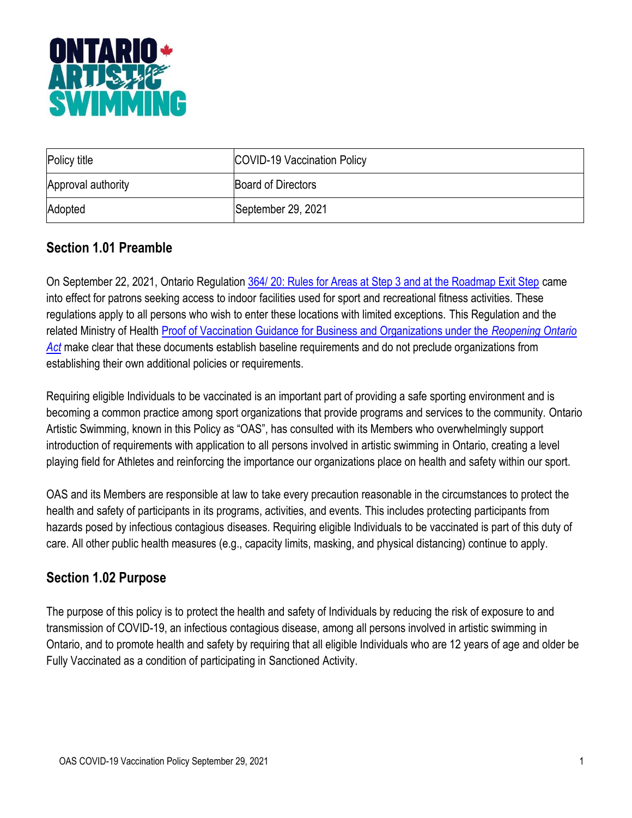

| Policy title       | COVID-19 Vaccination Policy |
|--------------------|-----------------------------|
| Approval authority | <b>Board of Directors</b>   |
| Adopted            | September 29, 2021          |

#### **Section 1.01 Preamble**

On September 22, 2021, Ontario Regulation [364/ 20: Rules for Areas at Step 3 and at the Roadmap Exit Step](https://www.ontario.ca/laws/regulation/200364) came into effect for patrons seeking access to indoor facilities used for sport and recreational fitness activities. These regulations apply to all persons who wish to enter these locations with limited exceptions. This Regulation and the related Ministry of Health [Proof of Vaccination Guidance for Business and Organizations under the](https://www.health.gov.on.ca/en/pro/programs/publichealth/coronavirus/docs/guidance_proof_of_vaccination_for_businesses_and_organizations.pdf) *Reopening Ontario [Act](https://www.health.gov.on.ca/en/pro/programs/publichealth/coronavirus/docs/guidance_proof_of_vaccination_for_businesses_and_organizations.pdf)* make clear that these documents establish baseline requirements and do not preclude organizations from establishing their own additional policies or requirements.

Requiring eligible Individuals to be vaccinated is an important part of providing a safe sporting environment and is becoming a common practice among sport organizations that provide programs and services to the community. Ontario Artistic Swimming, known in this Policy as "OAS", has consulted with its Members who overwhelmingly support introduction of requirements with application to all persons involved in artistic swimming in Ontario, creating a level playing field for Athletes and reinforcing the importance our organizations place on health and safety within our sport.

OAS and its Members are responsible at law to take every precaution reasonable in the circumstances to protect the health and safety of participants in its programs, activities, and events. This includes protecting participants from hazards posed by infectious contagious diseases. Requiring eligible Individuals to be vaccinated is part of this duty of care. All other public health measures (e.g., capacity limits, masking, and physical distancing) continue to apply.

#### **Section 1.02 Purpose**

The purpose of this policy is to protect the health and safety of Individuals by reducing the risk of exposure to and transmission of COVID-19, an infectious contagious disease, among all persons involved in artistic swimming in Ontario, and to promote health and safety by requiring that all eligible Individuals who are 12 years of age and older be Fully Vaccinated as a condition of participating in Sanctioned Activity.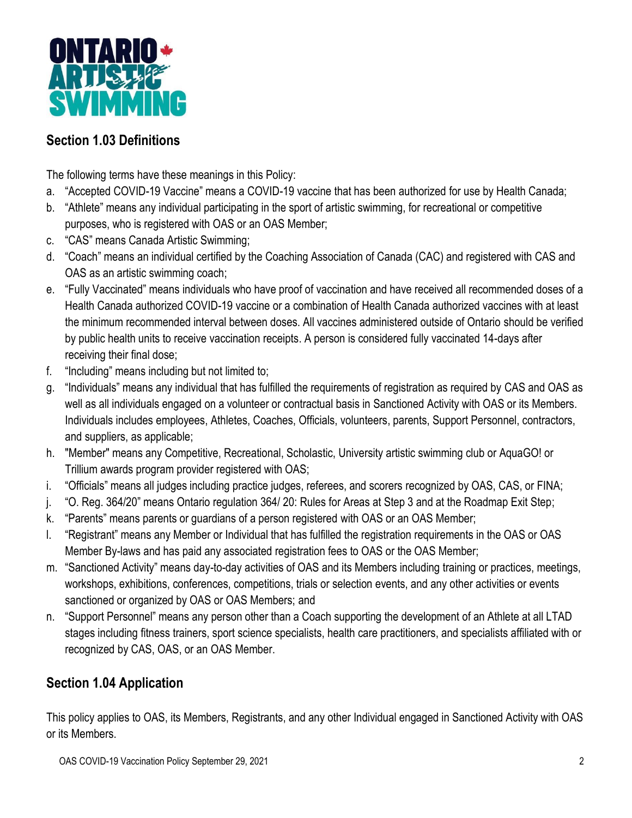

## **Section 1.03 Definitions**

The following terms have these meanings in this Policy:

- a. "Accepted COVID-19 Vaccine" means a COVID-19 vaccine that has been authorized for use by Health Canada;
- b. "Athlete" means any individual participating in the sport of artistic swimming, for recreational or competitive purposes, who is registered with OAS or an OAS Member;
- c. "CAS" means Canada Artistic Swimming;
- d. "Coach" means an individual certified by the Coaching Association of Canada (CAC) and registered with CAS and OAS as an artistic swimming coach;
- e. "Fully Vaccinated" means individuals who have proof of vaccination and have received all recommended doses of a Health Canada authorized COVID-19 vaccine or a combination of Health Canada authorized vaccines with at least the minimum recommended interval between doses. All vaccines administered outside of Ontario should be verified by public health units to receive vaccination receipts. A person is considered fully vaccinated 14-days after receiving their final dose;
- f. "Including" means including but not limited to;
- g. "Individuals" means any individual that has fulfilled the requirements of registration as required by CAS and OAS as well as all individuals engaged on a volunteer or contractual basis in Sanctioned Activity with OAS or its Members. Individuals includes employees, Athletes, Coaches, Officials, volunteers, parents, Support Personnel, contractors, and suppliers, as applicable;
- h. "Member" means any Competitive, Recreational, Scholastic, University artistic swimming club or AquaGO! or Trillium awards program provider registered with OAS;
- i. "Officials" means all judges including practice judges, referees, and scorers recognized by OAS, CAS, or FINA;
- j. "O. Reg. 364/20" means Ontario regulation 364/ 20: Rules for Areas at Step 3 and at the Roadmap Exit Step;
- k. "Parents" means parents or guardians of a person registered with OAS or an OAS Member;
- l. "Registrant" means any Member or Individual that has fulfilled the registration requirements in the OAS or OAS Member By-laws and has paid any associated registration fees to OAS or the OAS Member;
- m. "Sanctioned Activity" means day-to-day activities of OAS and its Members including training or practices, meetings, workshops, exhibitions, conferences, competitions, trials or selection events, and any other activities or events sanctioned or organized by OAS or OAS Members; and
- n. "Support Personnel" means any person other than a Coach supporting the development of an Athlete at all LTAD stages including fitness trainers, sport science specialists, health care practitioners, and specialists affiliated with or recognized by CAS, OAS, or an OAS Member.

#### **Section 1.04 Application**

This policy applies to OAS, its Members, Registrants, and any other Individual engaged in Sanctioned Activity with OAS or its Members.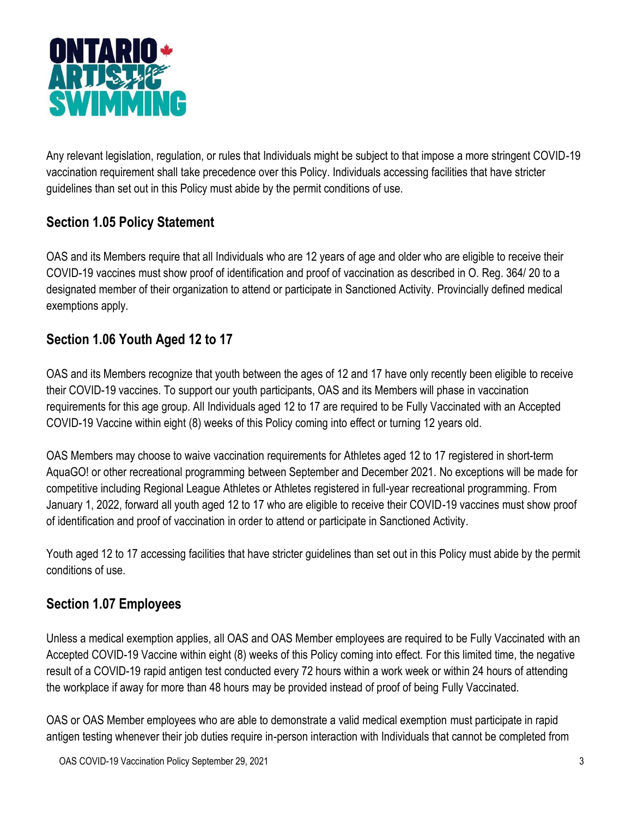

Any relevant legislation, regulation, or rules that Individuals might be subject to that impose a more stringent COVID-19 vaccination requirement shall take precedence over this Policy. Individuals accessing facilities that have stricter guidelines than set out in this Policy must abide by the permit conditions of use.

## **Section 1.05 Policy Statement**

OAS and its Members require that all Individuals who are 12 years of age and older who are eligible to receive their COVID-19 vaccines must show proof of identification and proof of vaccination as described in O. Reg. 364/ 20 to a designated member of their organization to attend or participate in Sanctioned Activity. Provincially defined medical exemptions apply.

## **Section 1.06 Youth Aged 12 to 17**

OAS and its Members recognize that youth between the ages of 12 and 17 have only recently been eligible to receive their COVID-19 vaccines. To support our youth participants, OAS and its Members will phase in vaccination requirements for this age group. All Individuals aged 12 to 17 are required to be Fully Vaccinated with an Accepted COVID-19 Vaccine within eight (8) weeks of this Policy coming into effect or turning 12 years old.

OAS Members may choose to waive vaccination requirements for Athletes aged 12 to 17 registered in short-term AquaGO! or other recreational programming between September and December 2021. No exceptions will be made for competitive including Regional League Athletes or Athletes registered in full-year recreational programming. From January 1, 2022, forward all youth aged 12 to 17 who are eligible to receive their COVID-19 vaccines must show proof of identification and proof of vaccination in order to attend or participate in Sanctioned Activity.

Youth aged 12 to 17 accessing facilities that have stricter guidelines than set out in this Policy must abide by the permit conditions of use.

#### **Section 1.07 Employees**

Unless a medical exemption applies, all OAS and OAS Member employees are required to be Fully Vaccinated with an Accepted COVID-19 Vaccine within eight (8) weeks of this Policy coming into effect. For this limited time, the negative result of a COVID-19 rapid antigen test conducted every 72 hours within a work week or within 24 hours of attending the workplace if away for more than 48 hours may be provided instead of proof of being Fully Vaccinated.

OAS or OAS Member employees who are able to demonstrate a valid medical exemption must participate in rapid antigen testing whenever their job duties require in-person interaction with Individuals that cannot be completed from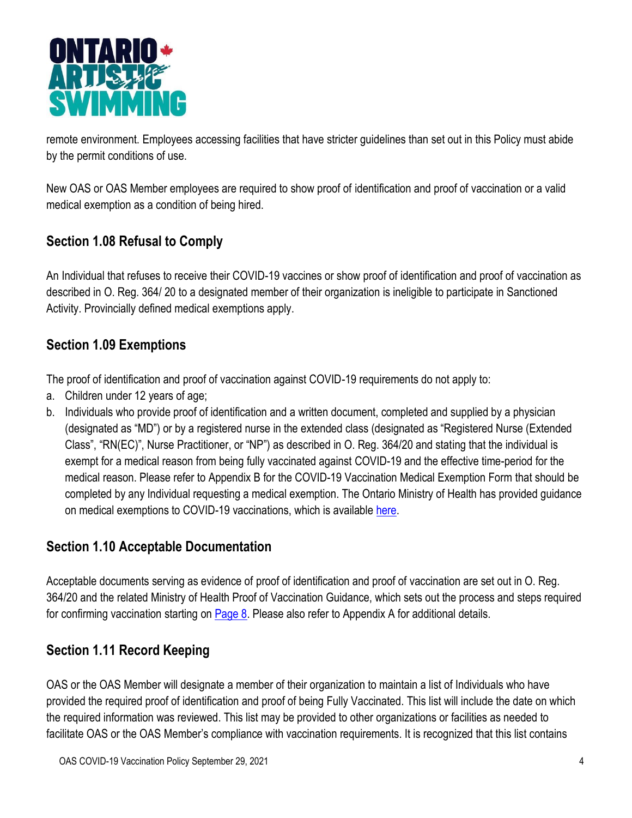

remote environment. Employees accessing facilities that have stricter guidelines than set out in this Policy must abide by the permit conditions of use.

New OAS or OAS Member employees are required to show proof of identification and proof of vaccination or a valid medical exemption as a condition of being hired.

# **Section 1.08 Refusal to Comply**

An Individual that refuses to receive their COVID-19 vaccines or show proof of identification and proof of vaccination as described in O. Reg. 364/ 20 to a designated member of their organization is ineligible to participate in Sanctioned Activity. Provincially defined medical exemptions apply.

## **Section 1.09 Exemptions**

The proof of identification and proof of vaccination against COVID-19 requirements do not apply to:

- a. Children under 12 years of age;
- b. Individuals who provide proof of identification and a written document, completed and supplied by a physician (designated as "MD") or by a registered nurse in the extended class (designated as "Registered Nurse (Extended Class", "RN(EC)", Nurse Practitioner, or "NP") as described in O. Reg. 364/20 and stating that the individual is exempt for a medical reason from being fully vaccinated against COVID-19 and the effective time-period for the medical reason. Please refer to Appendix B for the COVID-19 Vaccination Medical Exemption Form that should be completed by any Individual requesting a medical exemption. The Ontario Ministry of Health has provided guidance on medical exemptions to COVID-19 vaccinations, which is available [here.](https://health.gov.on.ca/en/pro/programs/publichealth/coronavirus/docs/vaccine/medical_exemptions_to_vaccination.pdf)

## **Section 1.10 Acceptable Documentation**

Acceptable documents serving as evidence of proof of identification and proof of vaccination are set out in O. Reg. 364/20 and the related Ministry of Health Proof of Vaccination Guidance, which sets out the process and steps required for confirming vaccination starting on [Page 8.](https://www.health.gov.on.ca/en/pro/programs/publichealth/coronavirus/docs/guidance_proof_of_vaccination_for_businesses_and_organizations.pdf) Please also refer to Appendix A for additional details.

## **Section 1.11 Record Keeping**

OAS or the OAS Member will designate a member of their organization to maintain a list of Individuals who have provided the required proof of identification and proof of being Fully Vaccinated. This list will include the date on which the required information was reviewed. This list may be provided to other organizations or facilities as needed to facilitate OAS or the OAS Member's compliance with vaccination requirements. It is recognized that this list contains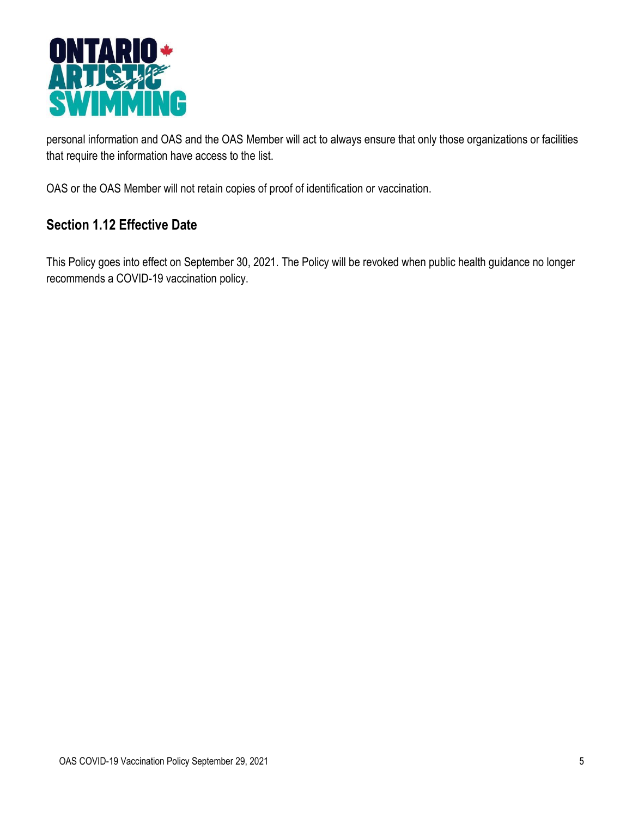

personal information and OAS and the OAS Member will act to always ensure that only those organizations or facilities that require the information have access to the list.

OAS or the OAS Member will not retain copies of proof of identification or vaccination.

#### **Section 1.12 Effective Date**

This Policy goes into effect on September 30, 2021. The Policy will be revoked when public health guidance no longer recommends a COVID-19 vaccination policy.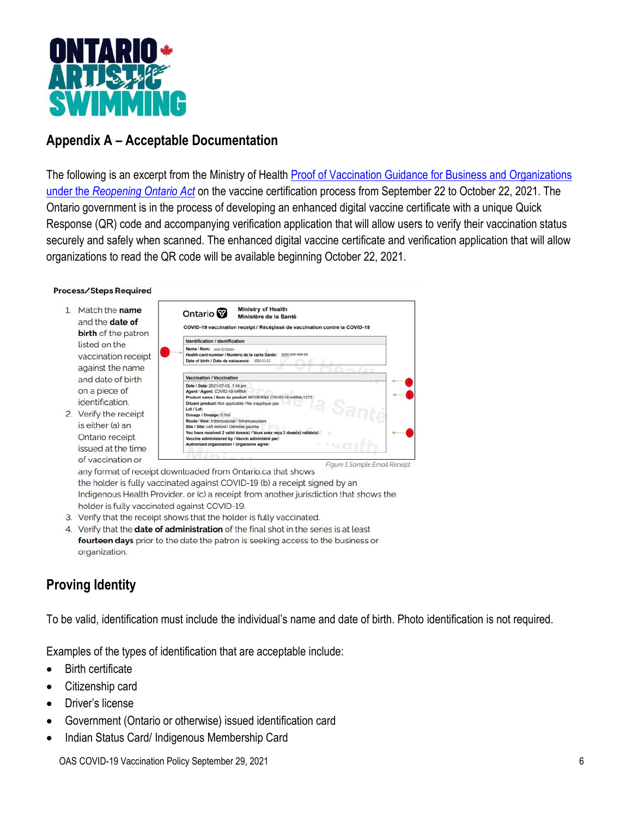

#### **Appendix A – Acceptable Documentation**

The following is an excerpt from the Ministry of Health Proof of Vaccination Guidance for Business and Organizations under the *[Reopening Ontario Act](https://www.health.gov.on.ca/en/pro/programs/publichealth/coronavirus/docs/guidance_proof_of_vaccination_for_businesses_and_organizations.pdf)* on the vaccine certification process from September 22 to October 22, 2021. The Ontario government is in the process of developing an enhanced digital vaccine certificate with a unique Quick Response (QR) code and accompanying verification application that will allow users to verify their vaccination status securely and safely when scanned. The enhanced digital vaccine certificate and verification application that will allow organizations to read the QR code will be available beginning October 22, 2021.

#### Process/Steps Required

- 1. Match the name and the date of birth of the patron listed on the vaccination receipt against the name and date of birth on a piece of identification.
- 2. Verify the receipt is either (a) an Ontario receipt issued at the time of vaccination or



Figure 1 Sample Email Receipt any format of receipt downloaded from Ontario.ca that shows the holder is fully vaccinated against COVID-19 (b) a receipt signed by an Indigenous Health Provider, or (c) a receipt from another jurisdiction that shows the holder is fully vaccinated against COVID-19.

- 3. Verify that the receipt shows that the holder is fully vaccinated.
- 4. Verify that the date of administration of the final shot in the series is at least fourteen days prior to the date the patron is seeking access to the business or organization.

# **Proving Identity**

To be valid, identification must include the individual's name and date of birth. Photo identification is not required.

Examples of the types of identification that are acceptable include:

- Birth certificate
- Citizenship card
- Driver's license
- Government (Ontario or otherwise) issued identification card
- Indian Status Card/ Indigenous Membership Card

OAS COVID-19 Vaccination Policy September 29, 2021 6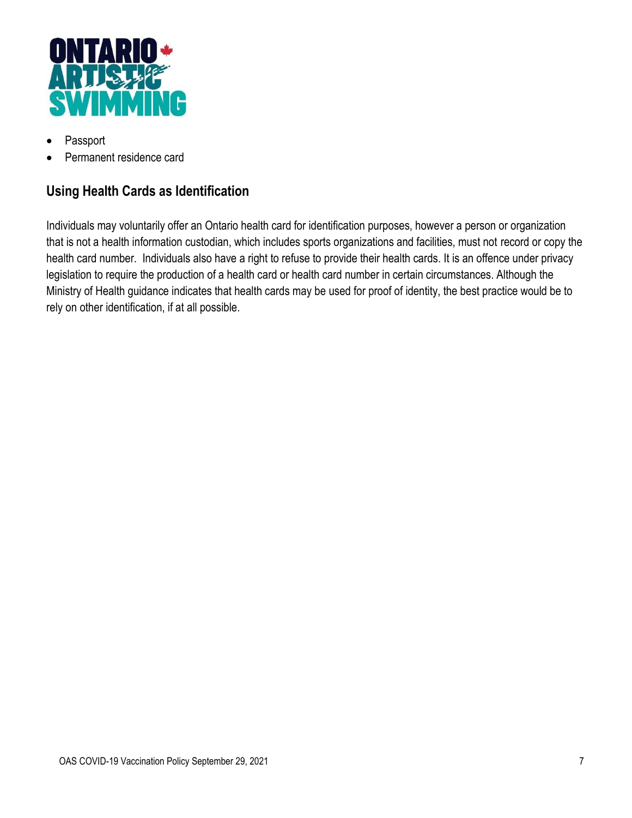

- Passport
- Permanent residence card

# **Using Health Cards as Identification**

Individuals may voluntarily offer an Ontario health card for identification purposes, however a person or organization that is not a health information custodian, which includes sports organizations and facilities, must not record or copy the health card number. Individuals also have a right to refuse to provide their health cards. It is an offence under privacy legislation to require the production of a health card or health card number in certain circumstances. Although the Ministry of Health guidance indicates that health cards may be used for proof of identity, the best practice would be to rely on other identification, if at all possible.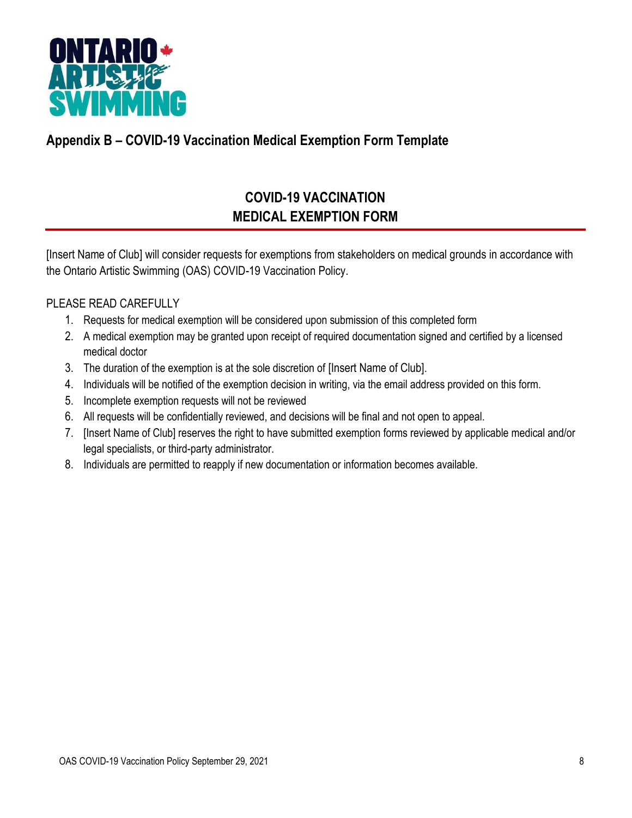

# **Appendix B – COVID-19 Vaccination Medical Exemption Form Template**

# **COVID-19 VACCINATION MEDICAL EXEMPTION FORM**

[Insert Name of Club] will consider requests for exemptions from stakeholders on medical grounds in accordance with the Ontario Artistic Swimming (OAS) COVID-19 Vaccination Policy.

#### PLEASE READ CAREFULLY

- 1. Requests for medical exemption will be considered upon submission of this completed form
- 2. A medical exemption may be granted upon receipt of required documentation signed and certified by a licensed medical doctor
- 3. The duration of the exemption is at the sole discretion of [Insert Name of Club].
- 4. Individuals will be notified of the exemption decision in writing, via the email address provided on this form.
- 5. Incomplete exemption requests will not be reviewed
- 6. All requests will be confidentially reviewed, and decisions will be final and not open to appeal.
- 7. [Insert Name of Club] reserves the right to have submitted exemption forms reviewed by applicable medical and/or legal specialists, or third-party administrator.
- 8. Individuals are permitted to reapply if new documentation or information becomes available.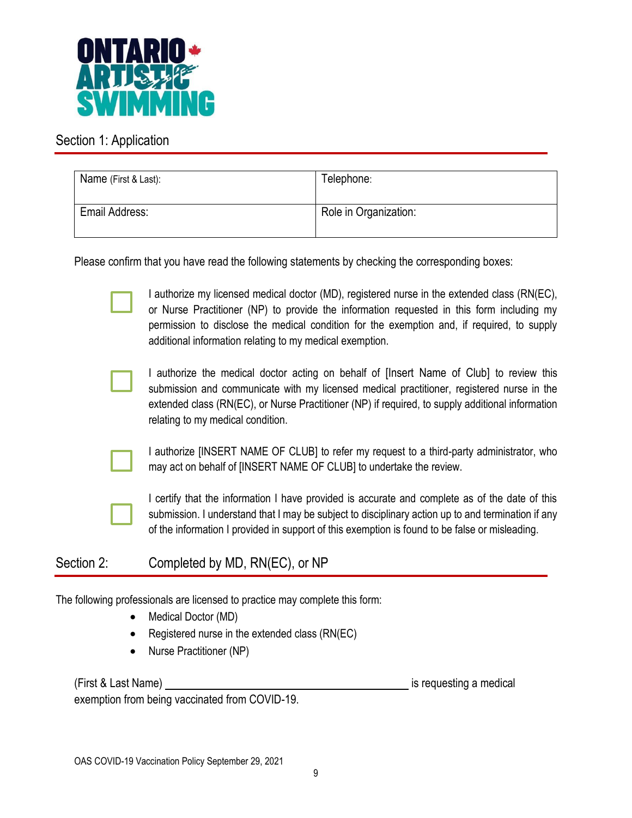

#### Section 1: Application

| Name (First & Last): | Telephone:            |
|----------------------|-----------------------|
| Email Address:       | Role in Organization: |

Please confirm that you have read the following statements by checking the corresponding boxes:

I authorize my licensed medical doctor (MD), registered nurse in the extended class (RN(EC), or Nurse Practitioner (NP) to provide the information requested in this form including my permission to disclose the medical condition for the exemption and, if required, to supply additional information relating to my medical exemption.



I authorize the medical doctor acting on behalf of [Insert Name of Club] to review this submission and communicate with my licensed medical practitioner, registered nurse in the extended class (RN(EC), or Nurse Practitioner (NP) if required, to supply additional information relating to my medical condition.



I authorize [INSERT NAME OF CLUB] to refer my request to a third-party administrator, who may act on behalf of [INSERT NAME OF CLUB] to undertake the review.



I certify that the information I have provided is accurate and complete as of the date of this submission. I understand that I may be subject to disciplinary action up to and termination if any of the information I provided in support of this exemption is found to be false or misleading.

Section 2: Completed by MD, RN(EC), or NP

The following professionals are licensed to practice may complete this form:

- Medical Doctor (MD)
- Registered nurse in the extended class (RN(EC)
- Nurse Practitioner (NP)

(First & Last Name) is requesting a medical intervalse when the state of the state of the state of the state of the state of the state of the state of the state of the state of the state of the state of the state of the st

exemption from being vaccinated from COVID-19.